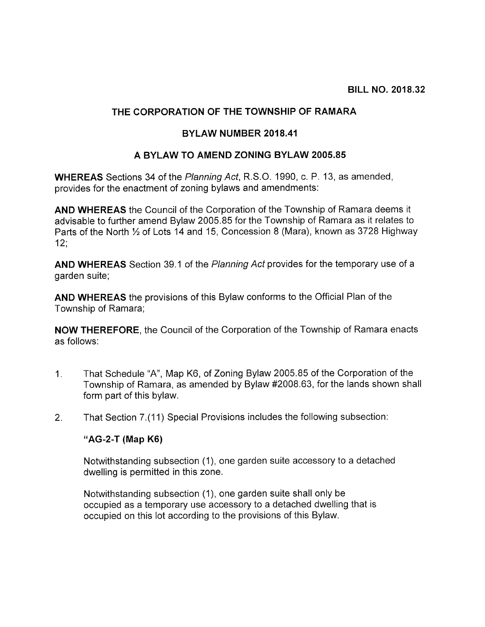## THE CORPORATION OF THE TOWNSHIP OF RAMARA

## BYLAW NUMBER 201841

## A BYLAW TO AMEND ZONING BYLAW 2005.85

WHEREAS Sections 34 of the Planning Act, R.S.O. 1990, c. P. 13, as amended, provides for the enactment of zoning bylaws and amendments:

AND WHEREAS the Council of the Corporation of the Township of Ramara deems it advisable to further amend Bylaw 2005.85 for the Township of Ramara as it relates to Parts of the North 1/2 of Lots 14 and 15, Concession 8 (Mara), known as 3728 Highway 12;

AND WHEREAS Section 39.1 of the Planning Act provides for the temporary use of a garden suite;

AND WHEREAS the provisions of this Bylaw conforms to the Official Plan of the Township of Ramara;

NOW THEREFORE, the Council of the Corporation of the Township of Ramara enacts as follows:

- 1. That Schedule "A", Map K6, of Zoning Bylaw 2005.85 of the Corporation of the Township of Ramara, as amended by Bylaw #2008.63, for the lands shown shall form part of this bylaw.
- 2. That Section 7.(11) Special Provisions includes the following subsection:

## "AG-2-T (Map K6)

Notwithstanding subsection (1), one garden suite accessory to a detached dwelling is permitted in this zone.

Notwithstanding subsection (1), one garden suite shall only be occupied as a temporary use accessory to a detached dwelling that is occupied on this lot according to the provisions of this Bylaw.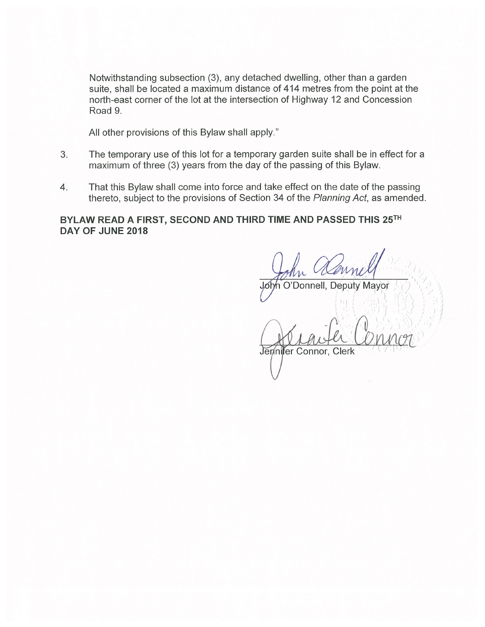Notwithstanding subsection (3), any detached dwelling, other than a garden suite, shall be located a maximum distance of 414 metres from the point at the north-east corner of the lot at the intersection of Highway 12 and Concession Road 9.

All other provisions of this Bylaw shall apply."

- 3. The temporary use of this lot for a temporary garden suite shall be in effect for a maximum of three (3) years from the day of the passing of this Bylaw.
- 4. That this Bylaw shall come into force and take effect on the date of the passing thereto, subject to the provisions of Section 34 of the Planning Act, as amended.

BYLAW READ A FIRST, SECOND AND THIRD TIME AND PASSED THIS 25TH DAY OF JUNE 2018

John Cleanell  $\sim$  ru

 $\sigma$ <sub>ph</sub> O'Donnell, Deputy Mayor  $\frac{1}{2}$  ,  $\frac{1}{2}$ - ~) I] ~ ] ,j <sup>3</sup>

Jennifer Connor, Clerk

 $\bigcup$ 

 $\{h\}$  ,  $\{h\}$  ,  $\{h\}$